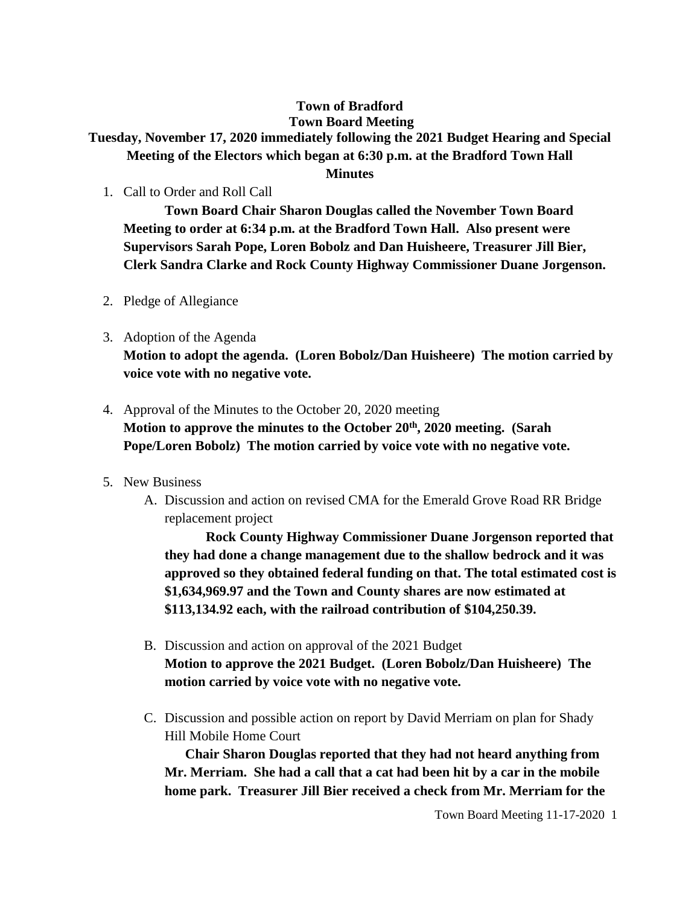## **Town of Bradford Town Board Meeting**

**Tuesday, November 17, 2020 immediately following the 2021 Budget Hearing and Special Meeting of the Electors which began at 6:30 p.m. at the Bradford Town Hall Minutes**

1. Call to Order and Roll Call

**Town Board Chair Sharon Douglas called the November Town Board Meeting to order at 6:34 p.m. at the Bradford Town Hall. Also present were Supervisors Sarah Pope, Loren Bobolz and Dan Huisheere, Treasurer Jill Bier, Clerk Sandra Clarke and Rock County Highway Commissioner Duane Jorgenson.**

- 2. Pledge of Allegiance
- 3. Adoption of the Agenda

**Motion to adopt the agenda. (Loren Bobolz/Dan Huisheere) The motion carried by voice vote with no negative vote.**

- 4. Approval of the Minutes to the October 20, 2020 meeting **Motion to approve the minutes to the October 20th, 2020 meeting. (Sarah Pope/Loren Bobolz) The motion carried by voice vote with no negative vote.**
- 5. New Business
	- A. Discussion and action on revised CMA for the Emerald Grove Road RR Bridge replacement project

**Rock County Highway Commissioner Duane Jorgenson reported that they had done a change management due to the shallow bedrock and it was approved so they obtained federal funding on that. The total estimated cost is \$1,634,969.97 and the Town and County shares are now estimated at \$113,134.92 each, with the railroad contribution of \$104,250.39.**

- B. Discussion and action on approval of the 2021 Budget **Motion to approve the 2021 Budget. (Loren Bobolz/Dan Huisheere) The motion carried by voice vote with no negative vote.**
- C. Discussion and possible action on report by David Merriam on plan for Shady Hill Mobile Home Court

**Chair Sharon Douglas reported that they had not heard anything from Mr. Merriam. She had a call that a cat had been hit by a car in the mobile home park. Treasurer Jill Bier received a check from Mr. Merriam for the**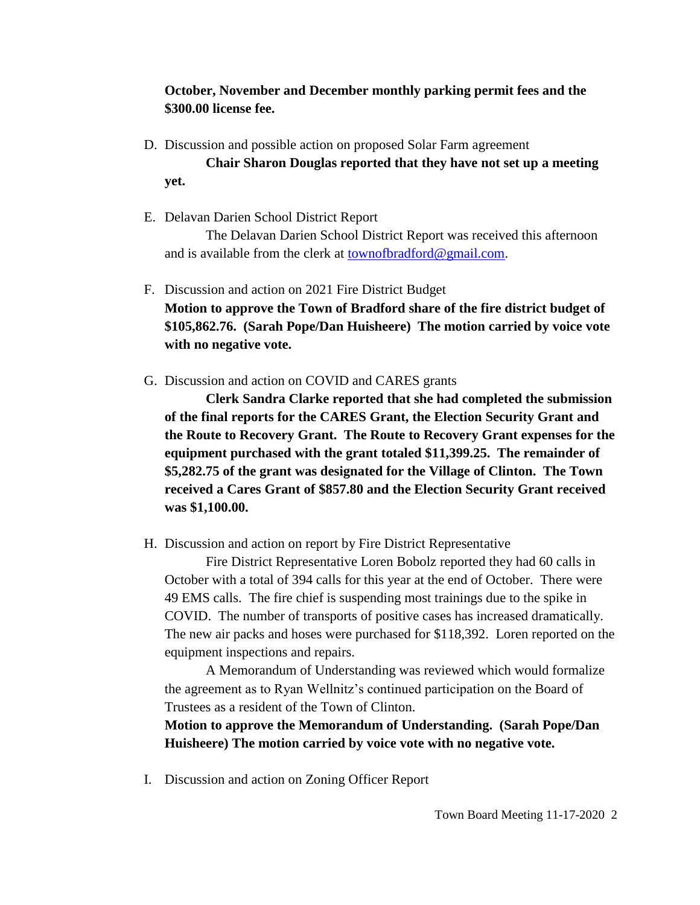## **October, November and December monthly parking permit fees and the \$300.00 license fee.**

- D. Discussion and possible action on proposed Solar Farm agreement **Chair Sharon Douglas reported that they have not set up a meeting yet.**
- E. Delavan Darien School District Report

The Delavan Darien School District Report was received this afternoon and is available from the clerk at [townofbradford@gmail.com.](mailto:townofbradford@gmail.com)

F. Discussion and action on 2021 Fire District Budget

**Motion to approve the Town of Bradford share of the fire district budget of \$105,862.76. (Sarah Pope/Dan Huisheere) The motion carried by voice vote with no negative vote.**

G. Discussion and action on COVID and CARES grants

**Clerk Sandra Clarke reported that she had completed the submission of the final reports for the CARES Grant, the Election Security Grant and the Route to Recovery Grant. The Route to Recovery Grant expenses for the equipment purchased with the grant totaled \$11,399.25. The remainder of \$5,282.75 of the grant was designated for the Village of Clinton. The Town received a Cares Grant of \$857.80 and the Election Security Grant received was \$1,100.00.**

H. Discussion and action on report by Fire District Representative

Fire District Representative Loren Bobolz reported they had 60 calls in October with a total of 394 calls for this year at the end of October. There were 49 EMS calls. The fire chief is suspending most trainings due to the spike in COVID. The number of transports of positive cases has increased dramatically. The new air packs and hoses were purchased for \$118,392. Loren reported on the equipment inspections and repairs.

A Memorandum of Understanding was reviewed which would formalize the agreement as to Ryan Wellnitz's continued participation on the Board of Trustees as a resident of the Town of Clinton.

**Motion to approve the Memorandum of Understanding. (Sarah Pope/Dan Huisheere) The motion carried by voice vote with no negative vote.**

I. Discussion and action on Zoning Officer Report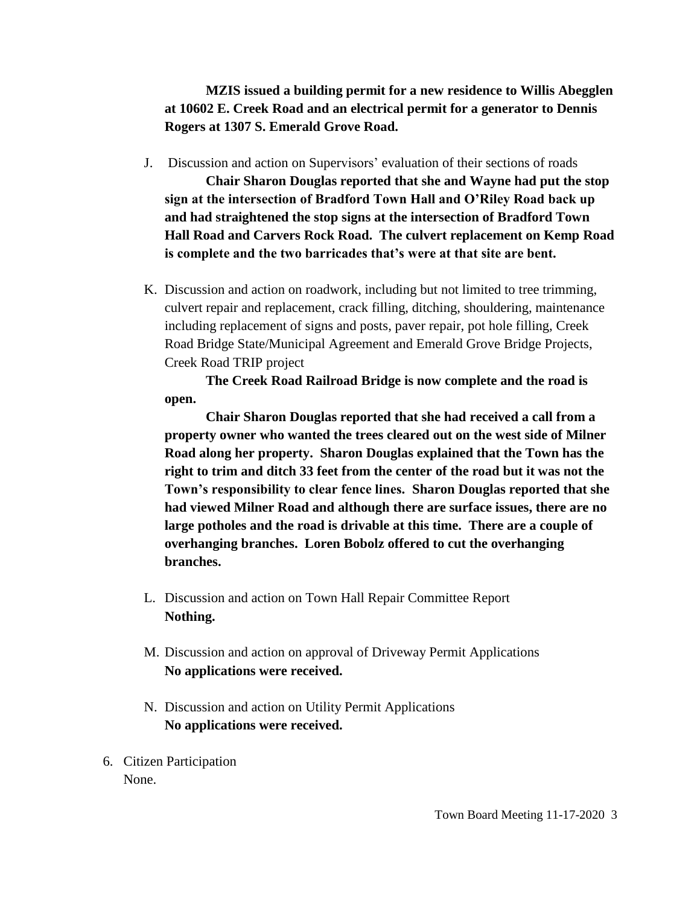**MZIS issued a building permit for a new residence to Willis Abegglen at 10602 E. Creek Road and an electrical permit for a generator to Dennis Rogers at 1307 S. Emerald Grove Road.**

J. Discussion and action on Supervisors' evaluation of their sections of roads

**Chair Sharon Douglas reported that she and Wayne had put the stop sign at the intersection of Bradford Town Hall and O'Riley Road back up and had straightened the stop signs at the intersection of Bradford Town Hall Road and Carvers Rock Road. The culvert replacement on Kemp Road is complete and the two barricades that's were at that site are bent.** 

K. Discussion and action on roadwork, including but not limited to tree trimming, culvert repair and replacement, crack filling, ditching, shouldering, maintenance including replacement of signs and posts, paver repair, pot hole filling, Creek Road Bridge State/Municipal Agreement and Emerald Grove Bridge Projects, Creek Road TRIP project

**The Creek Road Railroad Bridge is now complete and the road is open.** 

**Chair Sharon Douglas reported that she had received a call from a property owner who wanted the trees cleared out on the west side of Milner Road along her property. Sharon Douglas explained that the Town has the right to trim and ditch 33 feet from the center of the road but it was not the Town's responsibility to clear fence lines. Sharon Douglas reported that she had viewed Milner Road and although there are surface issues, there are no large potholes and the road is drivable at this time. There are a couple of overhanging branches. Loren Bobolz offered to cut the overhanging branches.**

- L. Discussion and action on Town Hall Repair Committee Report **Nothing.**
- M. Discussion and action on approval of Driveway Permit Applications **No applications were received.**
- N. Discussion and action on Utility Permit Applications **No applications were received.**
- 6. Citizen Participation None.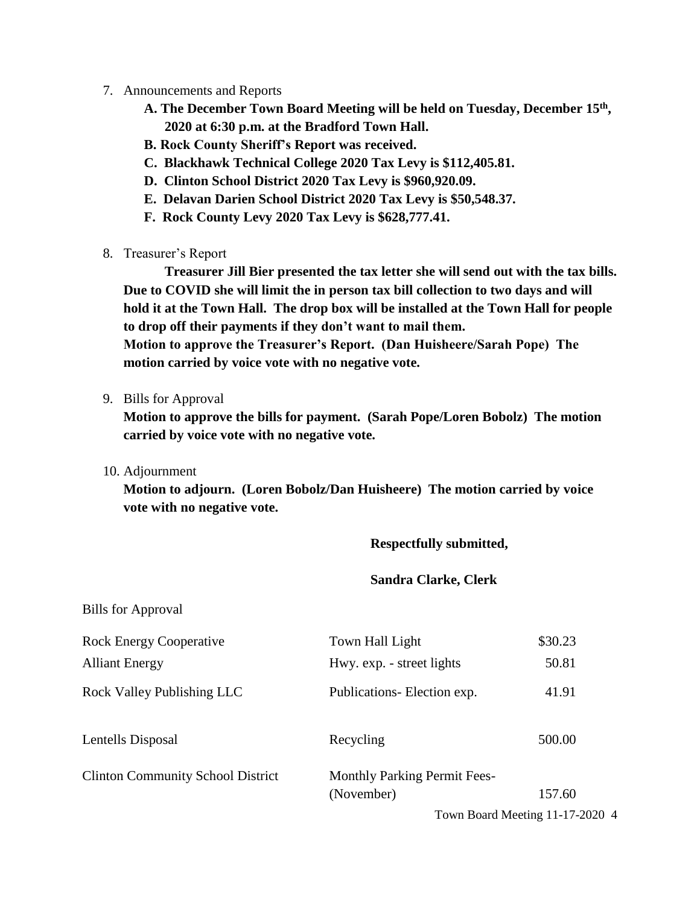- 7. Announcements and Reports
	- **A. The December Town Board Meeting will be held on Tuesday, December 15th , 2020 at 6:30 p.m. at the Bradford Town Hall.**
	- **B. Rock County Sheriff's Report was received.**
	- **C. Blackhawk Technical College 2020 Tax Levy is \$112,405.81.**
	- **D. Clinton School District 2020 Tax Levy is \$960,920.09.**
	- **E. Delavan Darien School District 2020 Tax Levy is \$50,548.37.**
	- **F. Rock County Levy 2020 Tax Levy is \$628,777.41.**
- 8. Treasurer's Report

**Treasurer Jill Bier presented the tax letter she will send out with the tax bills. Due to COVID she will limit the in person tax bill collection to two days and will hold it at the Town Hall. The drop box will be installed at the Town Hall for people to drop off their payments if they don't want to mail them. Motion to approve the Treasurer's Report. (Dan Huisheere/Sarah Pope) The motion carried by voice vote with no negative vote.**

9. Bills for Approval

**Motion to approve the bills for payment. (Sarah Pope/Loren Bobolz) The motion carried by voice vote with no negative vote.**

10. Adjournment

**Motion to adjourn. (Loren Bobolz/Dan Huisheere) The motion carried by voice vote with no negative vote.**

**Respectfully submitted,**

## **Sandra Clarke, Clerk**

| Town Hall Light                     | \$30.23 |
|-------------------------------------|---------|
| Hwy. exp. - street lights           | 50.81   |
| Publications-Election exp.          | 41.91   |
| Recycling                           | 500.00  |
| <b>Monthly Parking Permit Fees-</b> |         |
| (November)                          | 157.60  |
|                                     |         |

Town Board Meeting 11-17-2020 4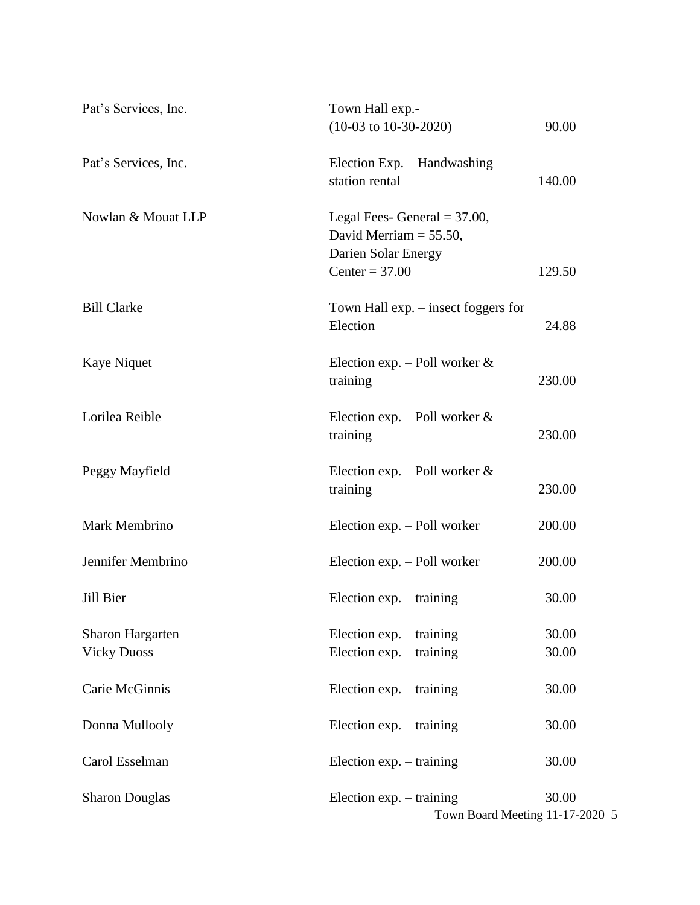| Pat's Services, Inc.                          | Town Hall exp.-<br>$(10-03 \text{ to } 10-30-2020)$                                                  | 90.00          |
|-----------------------------------------------|------------------------------------------------------------------------------------------------------|----------------|
| Pat's Services, Inc.                          | Election Exp. - Handwashing<br>station rental                                                        | 140.00         |
| Nowlan & Mouat LLP                            | Legal Fees-General $=$ 37.00,<br>David Merriam $=$ 55.50,<br>Darien Solar Energy<br>Center = $37.00$ | 129.50         |
| <b>Bill Clarke</b>                            | Town Hall $exp. -$ insect foggers for<br>Election                                                    | 24.88          |
| Kaye Niquet                                   | Election exp. – Poll worker $\&$<br>training                                                         | 230.00         |
| Lorilea Reible                                | Election exp. – Poll worker $\&$<br>training                                                         | 230.00         |
| Peggy Mayfield                                | Election exp. – Poll worker $\&$<br>training                                                         | 230.00         |
| Mark Membrino                                 | Election exp. - Poll worker                                                                          | 200.00         |
| Jennifer Membrino                             | Election exp. - Poll worker                                                                          | 200.00         |
| Jill Bier                                     | Election $exp. - training$                                                                           | 30.00          |
| <b>Sharon Hargarten</b><br><b>Vicky Duoss</b> | Election $exp. - training$<br>Election $exp. - training$                                             | 30.00<br>30.00 |
| Carie McGinnis                                | Election $exp. - training$                                                                           | 30.00          |
| Donna Mullooly                                | Election $exp. - training$                                                                           | 30.00          |
| Carol Esselman                                | Election $exp. - training$                                                                           | 30.00          |
| <b>Sharon Douglas</b>                         | Election $exp. - training$<br>Town Board Meeting 11-17-2020 5                                        | 30.00          |